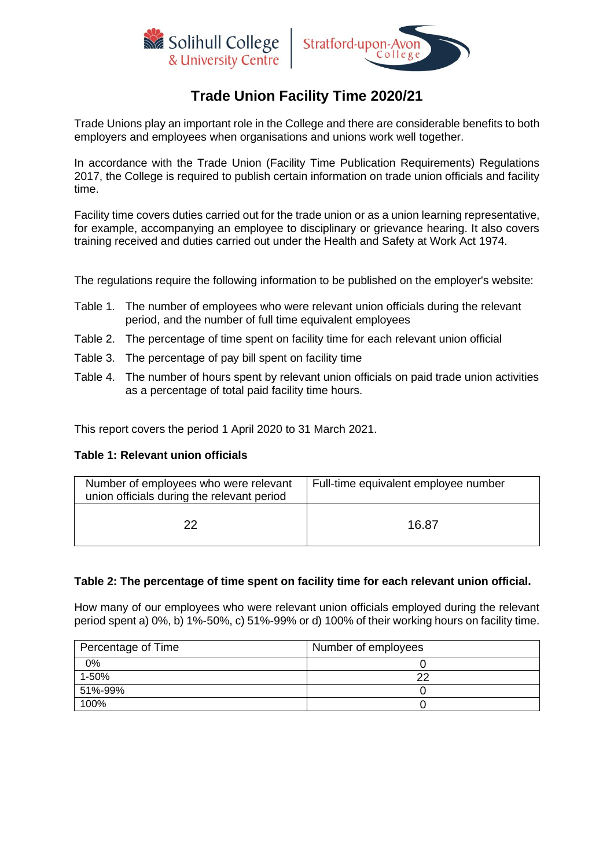



# **Trade Union Facility Time 2020/21**

Trade Unions play an important role in the College and there are considerable benefits to both employers and employees when organisations and unions work well together.

In accordance with the Trade Union (Facility Time Publication Requirements) Regulations 2017, the College is required to publish certain information on trade union officials and facility time.

Facility time covers duties carried out for the trade union or as a union learning representative, for example, accompanying an employee to disciplinary or grievance hearing. It also covers training received and duties carried out under the Health and Safety at Work Act 1974.

The regulations require the following information to be published on the employer's website:

- Table 1. The number of employees who were relevant union officials during the relevant period, and the number of full time equivalent employees
- Table 2. The percentage of time spent on facility time for each relevant union official
- Table 3. The percentage of pay bill spent on facility time
- Table 4. The number of hours spent by relevant union officials on paid trade union activities as a percentage of total paid facility time hours.

This report covers the period 1 April 2020 to 31 March 2021.

#### **Table 1: Relevant union officials**

| Number of employees who were relevant<br>union officials during the relevant period | Full-time equivalent employee number |
|-------------------------------------------------------------------------------------|--------------------------------------|
| າາ                                                                                  | 16.87                                |

#### **Table 2: The percentage of time spent on facility time for each relevant union official.**

How many of our employees who were relevant union officials employed during the relevant period spent a) 0%, b) 1%-50%, c) 51%-99% or d) 100% of their working hours on facility time.

| Percentage of Time | Number of employees |
|--------------------|---------------------|
| 0%                 |                     |
| 1-50%              | າາ                  |
| 51%-99%            |                     |
| 100%               |                     |